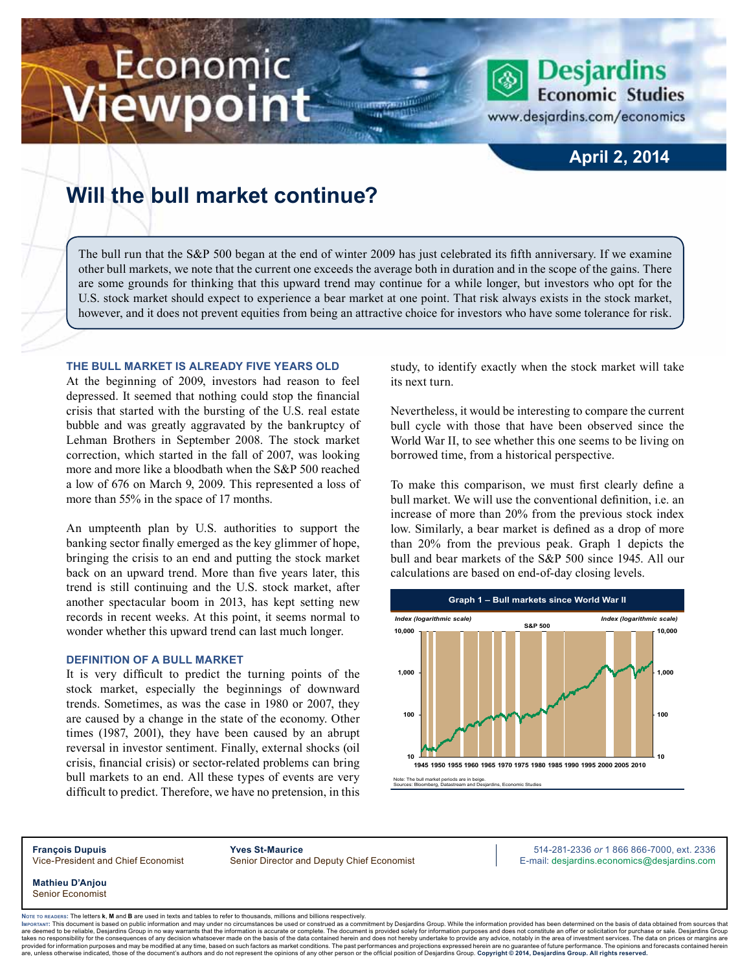# Economic iewpoint

### **April 2, 2014**

**Desjardins Economic Studies** 

www.desjardins.com/economics

## **Will the bull market continue?**

The bull run that the S&P 500 began at the end of winter 2009 has just celebrated its fifth anniversary. If we examine other bull markets, we note that the current one exceeds the average both in duration and in the scope of the gains. There are some grounds for thinking that this upward trend may continue for a while longer, but investors who opt for the U.S. stock market should expect to experience a bear market at one point. That risk always exists in the stock market, however, and it does not prevent equities from being an attractive choice for investors who have some tolerance for risk.

m

#### **The bull market is already five years old**

At the beginning of 2009, investors had reason to feel depressed. It seemed that nothing could stop the financial crisis that started with the bursting of the U.S. real estate bubble and was greatly aggravated by the bankruptcy of Lehman Brothers in September 2008. The stock market correction, which started in the fall of 2007, was looking more and more like a bloodbath when the S&P 500 reached a low of 676 on March 9, 2009. This represented a loss of more than 55% in the space of 17 months.

An umpteenth plan by U.S. authorities to support the banking sector finally emerged as the key glimmer of hope, bringing the crisis to an end and putting the stock market back on an upward trend. More than five years later, this trend is still continuing and the U.S. stock market, after another spectacular boom in 2013, has kept setting new records in recent weeks. At this point, it seems normal to wonder whether this upward trend can last much longer.

#### **Definition of a bull market**

It is very difficult to predict the turning points of the stock market, especially the beginnings of downward trends. Sometimes, as was the case in 1980 or 2007, they are caused by a change in the state of the economy. Other times (1987, 2001), they have been caused by an abrupt reversal in investor sentiment. Finally, external shocks (oil crisis, financial crisis) or sector-related problems can bring bull markets to an end. All these types of events are very difficult to predict. Therefore, we have no pretension, in this study, to identify exactly when the stock market will take its next turn.

Nevertheless, it would be interesting to compare the current bull cycle with those that have been observed since the World War II, to see whether this one seems to be living on borrowed time, from a historical perspective.

To make this comparison, we must first clearly define a bull market. We will use the conventional definition, i.e. an increase of more than 20% from the previous stock index low. Similarly, a bear market is defined as a drop of more than 20% from the previous peak. Graph 1 depicts the bull and bear markets of the S&P 500 since 1945. All our calculations are based on end-of-day closing levels.



**François Dupuis Yves St-Maurice** 514-281-2336 *or* 1 866 866-7000, ext. 2336 Vice-President and Chief Economist Senior Director and Deputy Chief Economist E-mail: desjardins.economics@desjardins.com

**Mathieu D'Anjou** Senior Economist

**Note to readers:** The letters **k**, **M** and **B** are used in texts and tables to refer to thousands, millions and billions respectively.

https://www.miniteducture.com/enterpretent/indeferent information and may under no circumstances be used or construed as a commitment by Desjardins Group. While the information provided has been determined on the basis of are deemed to be reliable. Desiardins Group in no way warrants that the information is accurate or complete. The document is provided solely for information purposes and does not constitute an offer or solicitation for pur takes no responsibility for the consequences of any decision whatsoever made on the basis of the data contained herein and does not hereby undertake to provide any advice, notably in the area of investment services. The da .<br>are, unless otherwise indicated, those of the document's authors and do not represent the opinions of any other person or the official position of Desjardins Group. Copyright © 2014, Desjardins Group. All rights reserve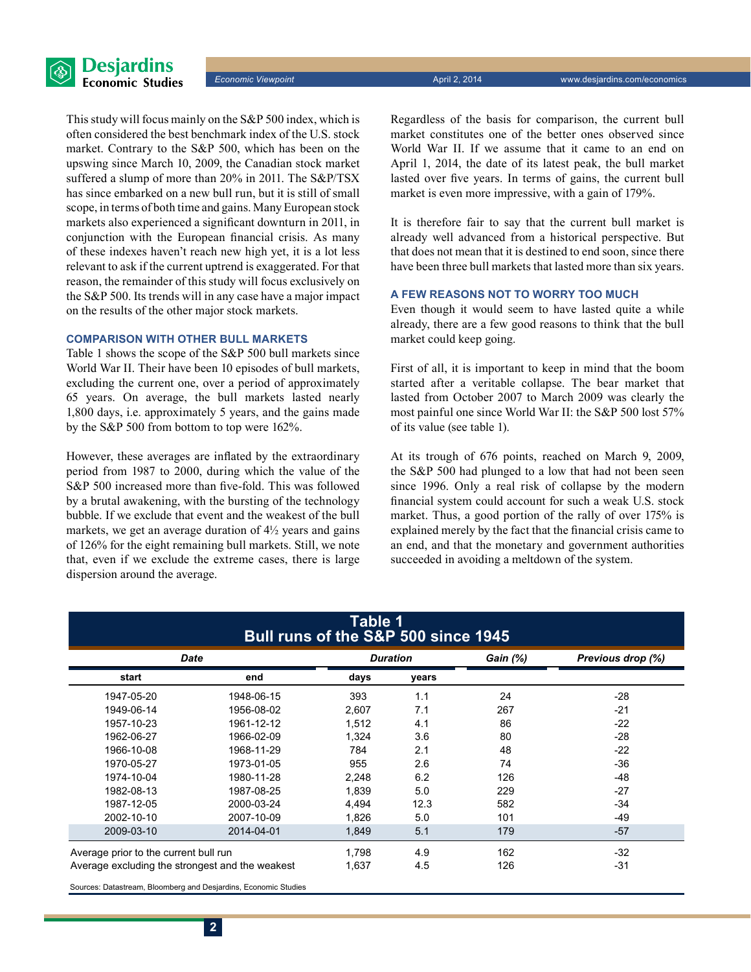

This study will focus mainly on the S&P 500 index, which is often considered the best benchmark index of the U.S. stock market. Contrary to the S&P 500, which has been on the upswing since March 10, 2009, the Canadian stock market suffered a slump of more than 20% in 2011. The S&P/TSX has since embarked on a new bull run, but it is still of small scope, in terms of both time and gains. Many European stock markets also experienced a significant downturn in 2011, in conjunction with the European financial crisis. As many of these indexes haven't reach new high yet, it is a lot less relevant to ask if the current uptrend is exaggerated. For that reason, the remainder of this study will focus exclusively on the S&P 500. Its trends will in any case have a major impact on the results of the other major stock markets.

#### **Comparison with other bull markets**

Table 1 shows the scope of the S&P 500 bull markets since World War II. Their have been 10 episodes of bull markets, excluding the current one, over a period of approximately 65 years. On average, the bull markets lasted nearly 1,800 days, i.e. approximately 5 years, and the gains made by the S&P 500 from bottom to top were 162%.

However, these averages are inflated by the extraordinary period from 1987 to 2000, during which the value of the S&P 500 increased more than five-fold. This was followed by a brutal awakening, with the bursting of the technology bubble. If we exclude that event and the weakest of the bull markets, we get an average duration of  $4\frac{1}{2}$  years and gains of 126% for the eight remaining bull markets. Still, we note that, even if we exclude the extreme cases, there is large dispersion around the average.

Regardless of the basis for comparison, the current bull market constitutes one of the better ones observed since World War II. If we assume that it came to an end on April 1, 2014, the date of its latest peak, the bull market lasted over five years. In terms of gains, the current bull market is even more impressive, with a gain of 179%.

It is therefore fair to say that the current bull market is already well advanced from a historical perspective. But that does not mean that it is destined to end soon, since there have been three bull markets that lasted more than six years.

#### **A few reasons not to worry too much**

Even though it would seem to have lasted quite a while already, there are a few good reasons to think that the bull market could keep going.

First of all, it is important to keep in mind that the boom started after a veritable collapse. The bear market that lasted from October 2007 to March 2009 was clearly the most painful one since World War II: the S&P 500 lost 57% of its value (see table 1).

At its trough of 676 points, reached on March 9, 2009, the S&P 500 had plunged to a low that had not been seen since 1996. Only a real risk of collapse by the modern financial system could account for such a weak U.S. stock market. Thus, a good portion of the rally of over 175% is explained merely by the fact that the financial crisis came to an end, and that the monetary and government authorities succeeded in avoiding a meltdown of the system.

| Table 1<br>Bull runs of the S&P 500 since 1945  |            |                 |       |                 |                   |
|-------------------------------------------------|------------|-----------------|-------|-----------------|-------------------|
| Date                                            |            | <b>Duration</b> |       | <b>Gain (%)</b> | Previous drop (%) |
| start                                           | end        | days            | years |                 |                   |
| 1947-05-20                                      | 1948-06-15 | 393             | 1.1   | 24              | $-28$             |
| 1949-06-14                                      | 1956-08-02 | 2,607           | 7.1   | 267             | $-21$             |
| 1957-10-23                                      | 1961-12-12 | 1,512           | 4.1   | 86              | $-22$             |
| 1962-06-27                                      | 1966-02-09 | 1,324           | 3.6   | 80              | $-28$             |
| 1966-10-08                                      | 1968-11-29 | 784             | 2.1   | 48              | $-22$             |
| 1970-05-27                                      | 1973-01-05 | 955             | 2.6   | 74              | $-36$             |
| 1974-10-04                                      | 1980-11-28 | 2,248           | 6.2   | 126             | -48               |
| 1982-08-13                                      | 1987-08-25 | 1,839           | 5.0   | 229             | $-27$             |
| 1987-12-05                                      | 2000-03-24 | 4,494           | 12.3  | 582             | $-34$             |
| 2002-10-10                                      | 2007-10-09 | 1.826           | 5.0   | 101             | -49               |
| 2009-03-10                                      | 2014-04-01 | 1,849           | 5.1   | 179             | $-57$             |
| Average prior to the current bull run           |            | 1.798           | 4.9   | 162             | $-32$             |
| Average excluding the strongest and the weakest |            | 1,637           | 4.5   | 126             | $-31$             |
|                                                 |            |                 |       |                 |                   |

Sources: Datastream, Bloomberg and Desjardins, Economic Studies